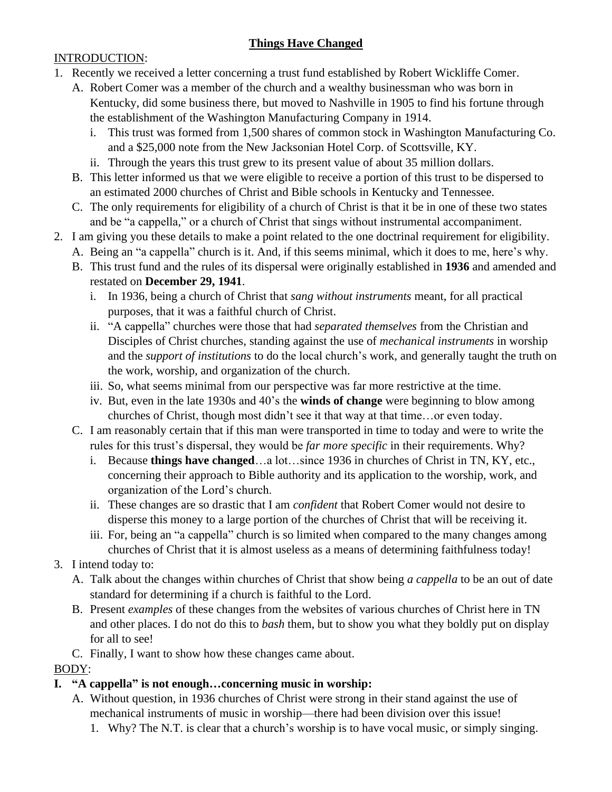# **Things Have Changed**

#### INTRODUCTION:

- 1. Recently we received a letter concerning a trust fund established by Robert Wickliffe Comer.
	- A. Robert Comer was a member of the church and a wealthy businessman who was born in Kentucky, did some business there, but moved to Nashville in 1905 to find his fortune through the establishment of the Washington Manufacturing Company in 1914.
		- i. This trust was formed from 1,500 shares of common stock in Washington Manufacturing Co. and a \$25,000 note from the New Jacksonian Hotel Corp. of Scottsville, KY.
		- ii. Through the years this trust grew to its present value of about 35 million dollars.
	- B. This letter informed us that we were eligible to receive a portion of this trust to be dispersed to an estimated 2000 churches of Christ and Bible schools in Kentucky and Tennessee.
	- C. The only requirements for eligibility of a church of Christ is that it be in one of these two states and be "a cappella," or a church of Christ that sings without instrumental accompaniment.
- 2. I am giving you these details to make a point related to the one doctrinal requirement for eligibility.
	- A. Being an "a cappella" church is it. And, if this seems minimal, which it does to me, here's why.
		- B. This trust fund and the rules of its dispersal were originally established in **1936** and amended and restated on **December 29, 1941**.
			- i. In 1936, being a church of Christ that *sang without instruments* meant, for all practical purposes, that it was a faithful church of Christ.
			- ii. "A cappella" churches were those that had *separated themselves* from the Christian and Disciples of Christ churches, standing against the use of *mechanical instruments* in worship and the *support of institutions* to do the local church's work, and generally taught the truth on the work, worship, and organization of the church.
			- iii. So, what seems minimal from our perspective was far more restrictive at the time.
			- iv. But, even in the late 1930s and 40's the **winds of change** were beginning to blow among churches of Christ, though most didn't see it that way at that time…or even today.
		- C. I am reasonably certain that if this man were transported in time to today and were to write the rules for this trust's dispersal, they would be *far more specific* in their requirements. Why?
			- i. Because **things have changed**…a lot…since 1936 in churches of Christ in TN, KY, etc., concerning their approach to Bible authority and its application to the worship, work, and organization of the Lord's church.
			- ii. These changes are so drastic that I am *confident* that Robert Comer would not desire to disperse this money to a large portion of the churches of Christ that will be receiving it.
			- iii. For, being an "a cappella" church is so limited when compared to the many changes among churches of Christ that it is almost useless as a means of determining faithfulness today!
- 3. I intend today to:
	- A. Talk about the changes within churches of Christ that show being *a cappella* to be an out of date standard for determining if a church is faithful to the Lord.
	- B. Present *examples* of these changes from the websites of various churches of Christ here in TN and other places. I do not do this to *bash* them, but to show you what they boldly put on display for all to see!
	- C. Finally, I want to show how these changes came about.

## BODY:

- **I. "A cappella" is not enough…concerning music in worship:**
	- A. Without question, in 1936 churches of Christ were strong in their stand against the use of mechanical instruments of music in worship—there had been division over this issue!
		- 1. Why? The N.T. is clear that a church's worship is to have vocal music, or simply singing.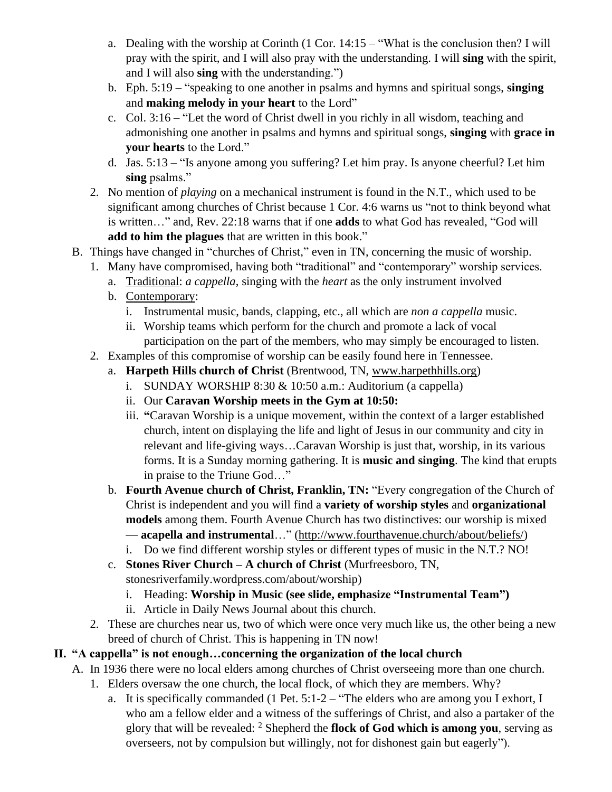- a. Dealing with the worship at Corinth (1 Cor. 14:15 "What is the conclusion then? I will pray with the spirit, and I will also pray with the understanding. I will **sing** with the spirit, and I will also **sing** with the understanding.")
- b. Eph. 5:19 "speaking to one another in psalms and hymns and spiritual songs, **singing** and **making melody in your heart** to the Lord"
- c. Col. 3:16 "Let the word of Christ dwell in you richly in all wisdom, teaching and admonishing one another in psalms and hymns and spiritual songs, **singing** with **grace in your hearts** to the Lord."
- d. Jas. 5:13 "Is anyone among you suffering? Let him pray. Is anyone cheerful? Let him **sing** psalms."
- 2. No mention of *playing* on a mechanical instrument is found in the N.T., which used to be significant among churches of Christ because 1 Cor. 4:6 warns us "not to think beyond what is written…" and, Rev. 22:18 warns that if one **adds** to what God has revealed, "God will **add to him the plagues** that are written in this book."
- B. Things have changed in "churches of Christ," even in TN, concerning the music of worship.
	- 1. Many have compromised, having both "traditional" and "contemporary" worship services.
		- a. Traditional: *a cappella*, singing with the *heart* as the only instrument involved
		- b. Contemporary:
			- i. Instrumental music, bands, clapping, etc., all which are *non a cappella* music.
			- ii. Worship teams which perform for the church and promote a lack of vocal participation on the part of the members, who may simply be encouraged to listen.
	- 2. Examples of this compromise of worship can be easily found here in Tennessee.
		- a. **Harpeth Hills church of Christ** (Brentwood, TN, [www.harpethhills.org\)](http://www.harpethhills.org/)
			- i. SUNDAY WORSHIP  $8:30 \& 10:50$  a.m.: Auditorium (a cappella)
			- ii. Our **Caravan Worship meets in the Gym at 10:50:**
			- iii. **"**Caravan Worship is a unique movement, within the context of a larger established church, intent on displaying the life and light of Jesus in our community and city in relevant and life-giving ways…Caravan Worship is just that, worship, in its various forms. It is a Sunday morning gathering. It is **music and singing**. The kind that erupts in praise to the Triune God…"
		- b. **Fourth Avenue church of Christ, Franklin, TN:** "Every congregation of the Church of Christ is independent and you will find a **variety of worship styles** and **organizational models** among them. Fourth Avenue Church has two distinctives: our worship is mixed — **acapella and instrumental**…" [\(http://www.fourthavenue.church/about/beliefs/\)](http://www.fourthavenue.church/about/beliefs/)
			- i. Do we find different worship styles or different types of music in the N.T.? NO!
		- c. **Stones River Church – A church of Christ** (Murfreesboro, TN, stonesriverfamily.wordpress.com/about/worship)
			- i. Heading: **Worship in Music (see slide, emphasize "Instrumental Team")**
			- ii. Article in Daily News Journal about this church.
	- 2. These are churches near us, two of which were once very much like us, the other being a new breed of church of Christ. This is happening in TN now!

## **II. "A cappella" is not enough…concerning the organization of the local church**

- A. In 1936 there were no local elders among churches of Christ overseeing more than one church.
	- 1. Elders oversaw the one church, the local flock, of which they are members. Why?
		- a. It is specifically commanded (1 Pet. 5:1-2 "The elders who are among you I exhort, I who am a fellow elder and a witness of the sufferings of Christ, and also a partaker of the glory that will be revealed: <sup>2</sup> Shepherd the **flock of God which is among you**, serving as overseers, not by compulsion but willingly, not for dishonest gain but eagerly").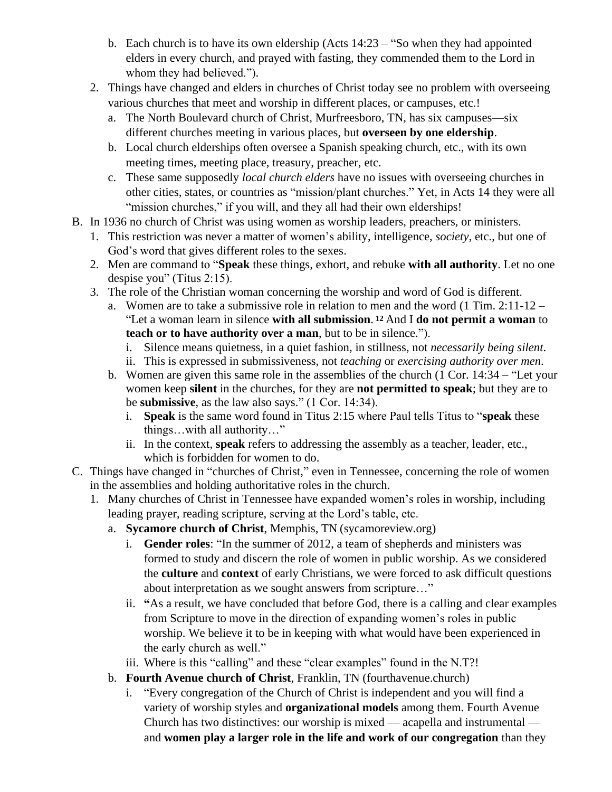- b. Each church is to have its own eldership (Acts 14:23 "So when they had appointed elders in every church, and prayed with fasting, they commended them to the Lord in whom they had believed.").
- 2. Things have changed and elders in churches of Christ today see no problem with overseeing various churches that meet and worship in different places, or campuses, etc.!
	- a. The North Boulevard church of Christ, Murfreesboro, TN, has six campuses—six different churches meeting in various places, but **overseen by one eldership**.
	- b. Local church elderships often oversee a Spanish speaking church, etc., with its own meeting times, meeting place, treasury, preacher, etc.
	- c. These same supposedly *local church elders* have no issues with overseeing churches in other cities, states, or countries as "mission/plant churches." Yet, in Acts 14 they were all "mission churches," if you will, and they all had their own elderships!
- B. In 1936 no church of Christ was using women as worship leaders, preachers, or ministers.
	- 1. This restriction was never a matter of women's ability, intelligence, *society*, etc., but one of God's word that gives different roles to the sexes.
	- 2. Men are command to "**Speak** these things, exhort, and rebuke **with all authority**. Let no one despise you" (Titus 2:15).
	- 3. The role of the Christian woman concerning the worship and word of God is different.
		- a. Women are to take a submissive role in relation to men and the word (1 Tim. 2:11-12 "Let a woman learn in silence **with all submission**. **<sup>12</sup>**And I **do not permit a woman** to **teach or to have authority over a man**, but to be in silence.").
			- i. Silence means quietness, in a quiet fashion, in stillness, not *necessarily being silent*.
			- ii. This is expressed in submissiveness, not *teaching* or *exercising authority over men*.
		- b. Women are given this same role in the assemblies of the church (1 Cor. 14:34 "Let your women keep **silent** in the churches, for they are **not permitted to speak**; but they are to be **submissive**, as the law also says." (1 Cor. 14:34).
			- i. **Speak** is the same word found in Titus 2:15 where Paul tells Titus to "**speak** these things…with all authority…"
			- ii. In the context, **speak** refers to addressing the assembly as a teacher, leader, etc., which is forbidden for women to do.
- C. Things have changed in "churches of Christ," even in Tennessee, concerning the role of women in the assemblies and holding authoritative roles in the church.
	- 1. Many churches of Christ in Tennessee have expanded women's roles in worship, including leading prayer, reading scripture, serving at the Lord's table, etc.
		- a. **Sycamore church of Christ**, Memphis, TN (sycamoreview.org)
			- i. **Gender roles**: "In the summer of 2012, a team of shepherds and ministers was formed to study and discern the role of women in public worship. As we considered the **culture** and **context** of early Christians, we were forced to ask difficult questions about interpretation as we sought answers from scripture…"
			- ii. **"**As a result, we have concluded that before God, there is a calling and clear examples from Scripture to move in the direction of expanding women's roles in public worship. We believe it to be in keeping with what would have been experienced in the early church as well."
			- iii. Where is this "calling" and these "clear examples" found in the N.T?!
		- b. **Fourth Avenue church of Christ**, Franklin, TN (fourthavenue.church)
			- i. "Every congregation of the Church of Christ is independent and you will find a variety of worship styles and **organizational models** among them. Fourth Avenue Church has two distinctives: our worship is mixed — acapella and instrumental and **women play a larger role in the life and work of our congregation** than they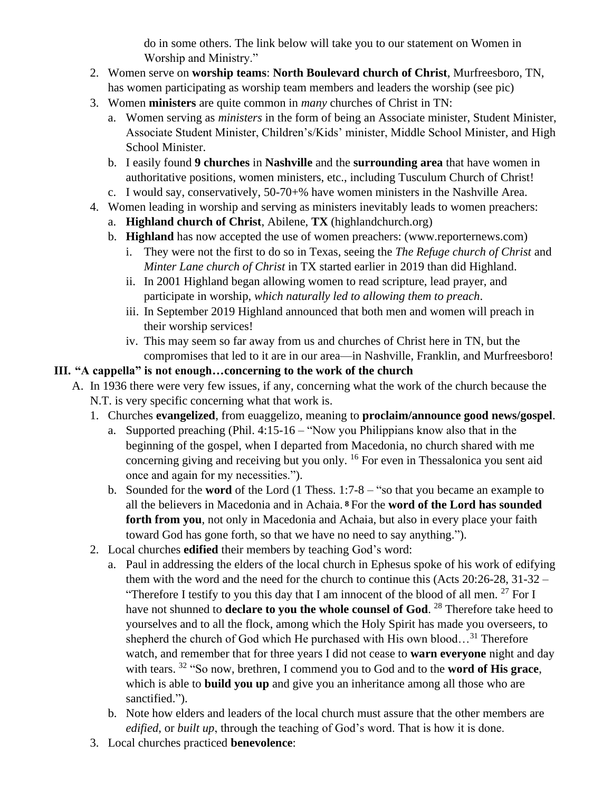do in some others. The link below will take you to our statement on Women in Worship and Ministry."

- 2. Women serve on **worship teams**: **North Boulevard church of Christ**, Murfreesboro, TN, has women participating as worship team members and leaders the worship (see pic)
- 3. Women **ministers** are quite common in *many* churches of Christ in TN:
	- a. Women serving as *ministers* in the form of being an Associate minister, Student Minister, Associate Student Minister, Children's/Kids' minister, Middle School Minister, and High School Minister.
	- b. I easily found **9 churches** in **Nashville** and the **surrounding area** that have women in authoritative positions, women ministers, etc., including Tusculum Church of Christ!
	- c. I would say, conservatively, 50-70+% have women ministers in the Nashville Area.
- 4. Women leading in worship and serving as ministers inevitably leads to women preachers:
	- a. **Highland church of Christ**, Abilene, **TX** (highlandchurch.org)
	- b. **Highland** has now accepted the use of women preachers: (www.reporternews.com)
		- i. They were not the first to do so in Texas, seeing the *The Refuge church of Christ* and *Minter Lane church of Christ* in TX started earlier in 2019 than did Highland.
		- ii. In 2001 Highland began allowing women to read scripture, lead prayer, and participate in worship, *which naturally led to allowing them to preach*.
		- iii. In September 2019 Highland announced that both men and women will preach in their worship services!
		- iv. This may seem so far away from us and churches of Christ here in TN, but the compromises that led to it are in our area—in Nashville, Franklin, and Murfreesboro!

## **III. "A cappella" is not enough…concerning to the work of the church**

- A. In 1936 there were very few issues, if any, concerning what the work of the church because the N.T. is very specific concerning what that work is.
	- 1. Churches **evangelized**, from euaggelizo, meaning to **proclaim/announce good news/gospel**.
		- a. Supported preaching (Phil. 4:15-16 "Now you Philippians know also that in the beginning of the gospel, when I departed from Macedonia, no church shared with me concerning giving and receiving but you only. <sup>16</sup> For even in Thessalonica you sent aid once and again for my necessities.").
		- b. Sounded for the **word** of the Lord (1 Thess. 1:7-8 "so that you became an example to all the believers in Macedonia and in Achaia. **<sup>8</sup>**For the **word of the Lord has sounded forth from you**, not only in Macedonia and Achaia, but also in every place your faith toward God has gone forth, so that we have no need to say anything.").
	- 2. Local churches **edified** their members by teaching God's word:
		- a. Paul in addressing the elders of the local church in Ephesus spoke of his work of edifying them with the word and the need for the church to continue this (Acts 20:26-28, 31-32 – "Therefore I testify to you this day that I am innocent of the blood of all men.  $27$  For I have not shunned to **declare to you the whole counsel of God**. <sup>28</sup> Therefore take heed to yourselves and to all the flock, among which the Holy Spirit has made you overseers, to shepherd the church of God which He purchased with His own blood...<sup>31</sup> Therefore watch, and remember that for three years I did not cease to **warn everyone** night and day with tears. <sup>32</sup> "So now, brethren, I commend you to God and to the **word of His grace**, which is able to **build you up** and give you an inheritance among all those who are sanctified.").
		- b. Note how elders and leaders of the local church must assure that the other members are *edified*, or *built up*, through the teaching of God's word. That is how it is done.
	- 3. Local churches practiced **benevolence**: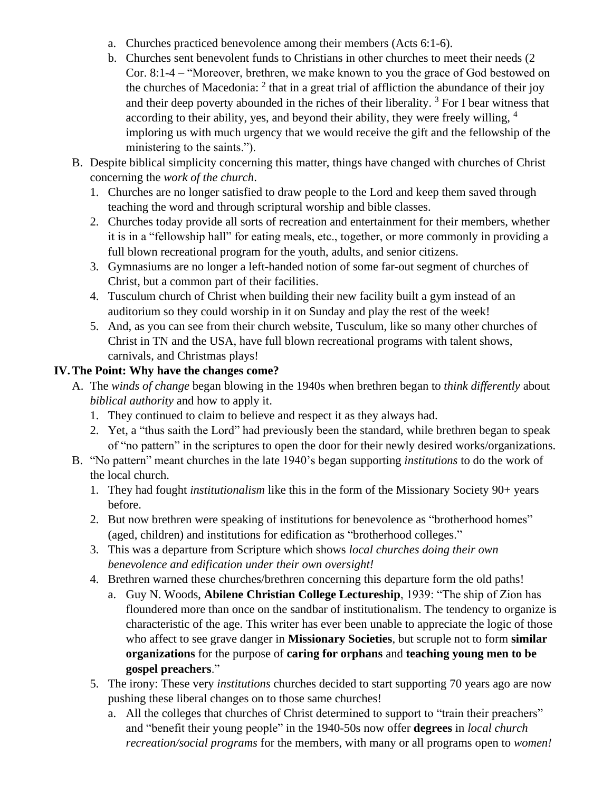- a. Churches practiced benevolence among their members (Acts 6:1-6).
- b. Churches sent benevolent funds to Christians in other churches to meet their needs (2 Cor. 8:1-4 – "Moreover, brethren, we make known to you the grace of God bestowed on the churches of Macedonia:  $2$  that in a great trial of affliction the abundance of their joy and their deep poverty abounded in the riches of their liberality.<sup>3</sup> For I bear witness that according to their ability, yes, and beyond their ability, they were freely willing, <sup>4</sup> imploring us with much urgency that we would receive the gift and the fellowship of the ministering to the saints.").
- B. Despite biblical simplicity concerning this matter, things have changed with churches of Christ concerning the *work of the church*.
	- 1. Churches are no longer satisfied to draw people to the Lord and keep them saved through teaching the word and through scriptural worship and bible classes.
	- 2. Churches today provide all sorts of recreation and entertainment for their members, whether it is in a "fellowship hall" for eating meals, etc., together, or more commonly in providing a full blown recreational program for the youth, adults, and senior citizens.
	- 3. Gymnasiums are no longer a left-handed notion of some far-out segment of churches of Christ, but a common part of their facilities.
	- 4. Tusculum church of Christ when building their new facility built a gym instead of an auditorium so they could worship in it on Sunday and play the rest of the week!
	- 5. And, as you can see from their church website, Tusculum, like so many other churches of Christ in TN and the USA, have full blown recreational programs with talent shows, carnivals, and Christmas plays!

### **IV.The Point: Why have the changes come?**

- A. The *winds of change* began blowing in the 1940s when brethren began to *think differently* about *biblical authority* and how to apply it.
	- 1. They continued to claim to believe and respect it as they always had.
	- 2. Yet, a "thus saith the Lord" had previously been the standard, while brethren began to speak of "no pattern" in the scriptures to open the door for their newly desired works/organizations.
- B. "No pattern" meant churches in the late 1940's began supporting *institutions* to do the work of the local church.
	- 1. They had fought *institutionalism* like this in the form of the Missionary Society 90+ years before.
	- 2. But now brethren were speaking of institutions for benevolence as "brotherhood homes" (aged, children) and institutions for edification as "brotherhood colleges."
	- 3. This was a departure from Scripture which shows *local churches doing their own benevolence and edification under their own oversight!*
	- 4. Brethren warned these churches/brethren concerning this departure form the old paths!
		- a. Guy N. Woods, **Abilene Christian College Lectureship**, 1939: "The ship of Zion has floundered more than once on the sandbar of institutionalism. The tendency to organize is characteristic of the age. This writer has ever been unable to appreciate the logic of those who affect to see grave danger in **Missionary Societies**, but scruple not to form **similar organizations** for the purpose of **caring for orphans** and **teaching young men to be gospel preachers**."
	- 5. The irony: These very *institutions* churches decided to start supporting 70 years ago are now pushing these liberal changes on to those same churches!
		- a. All the colleges that churches of Christ determined to support to "train their preachers" and "benefit their young people" in the 1940-50s now offer **degrees** in *local church recreation/social programs* for the members, with many or all programs open to *women!*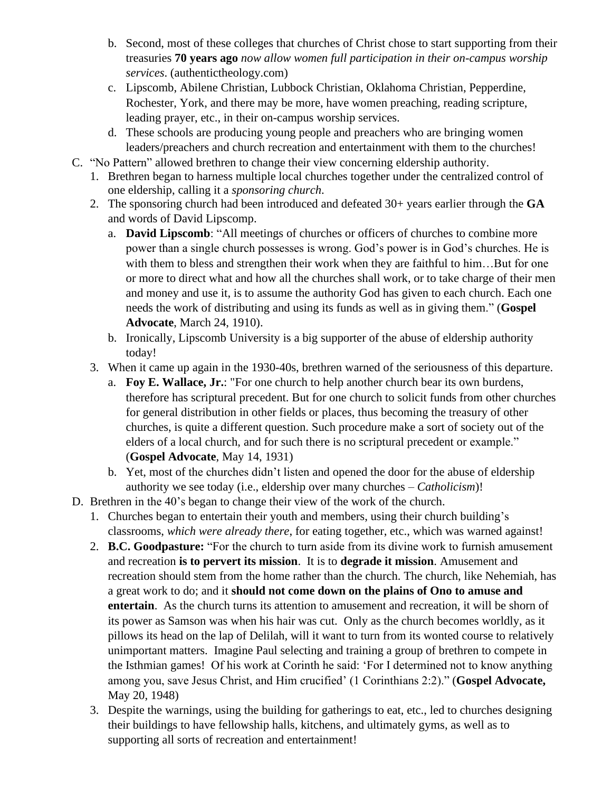- b. Second, most of these colleges that churches of Christ chose to start supporting from their treasuries **70 years ago** *now allow women full participation in their on-campus worship services*. (authentictheology.com)
- c. Lipscomb, Abilene Christian, Lubbock Christian, Oklahoma Christian, Pepperdine, Rochester, York, and there may be more, have women preaching, reading scripture, leading prayer, etc., in their on-campus worship services.
- d. These schools are producing young people and preachers who are bringing women leaders/preachers and church recreation and entertainment with them to the churches!
- C. "No Pattern" allowed brethren to change their view concerning eldership authority.
	- 1. Brethren began to harness multiple local churches together under the centralized control of one eldership, calling it a *sponsoring church*.
	- 2. The sponsoring church had been introduced and defeated 30+ years earlier through the **GA**  and words of David Lipscomp.
		- a. **David Lipscomb**: "All meetings of churches or officers of churches to combine more power than a single church possesses is wrong. God's power is in God's churches. He is with them to bless and strengthen their work when they are faithful to him...But for one or more to direct what and how all the churches shall work, or to take charge of their men and money and use it, is to assume the authority God has given to each church. Each one needs the work of distributing and using its funds as well as in giving them." (**Gospel Advocate**, March 24, 1910).
		- b. Ironically, Lipscomb University is a big supporter of the abuse of eldership authority today!
	- 3. When it came up again in the 1930-40s, brethren warned of the seriousness of this departure.
		- a. **Foy E. Wallace, Jr.**: "For one church to help another church bear its own burdens, therefore has scriptural precedent. But for one church to solicit funds from other churches for general distribution in other fields or places, thus becoming the treasury of other churches, is quite a different question. Such procedure make a sort of society out of the elders of a local church, and for such there is no scriptural precedent or example." (**Gospel Advocate**, May 14, 1931)
		- b. Yet, most of the churches didn't listen and opened the door for the abuse of eldership authority we see today (i.e., eldership over many churches – *Catholicism*)!
- D. Brethren in the 40's began to change their view of the work of the church.
	- 1. Churches began to entertain their youth and members, using their church building's classrooms, *which were already there*, for eating together, etc., which was warned against!
	- 2. **B.C. Goodpasture:** "For the church to turn aside from its divine work to furnish amusement and recreation **is to pervert its mission**. It is to **degrade it mission**. Amusement and recreation should stem from the home rather than the church. The church, like Nehemiah, has a great work to do; and it **should not come down on the plains of Ono to amuse and entertain**. As the church turns its attention to amusement and recreation, it will be shorn of its power as Samson was when his hair was cut. Only as the church becomes worldly, as it pillows its head on the lap of Delilah, will it want to turn from its wonted course to relatively unimportant matters. Imagine Paul selecting and training a group of brethren to compete in the Isthmian games! Of his work at Corinth he said: 'For I determined not to know anything among you, save Jesus Christ, and Him crucified' (1 Corinthians 2:2)." (**Gospel Advocate,**  May 20, 1948)
	- 3. Despite the warnings, using the building for gatherings to eat, etc., led to churches designing their buildings to have fellowship halls, kitchens, and ultimately gyms, as well as to supporting all sorts of recreation and entertainment!